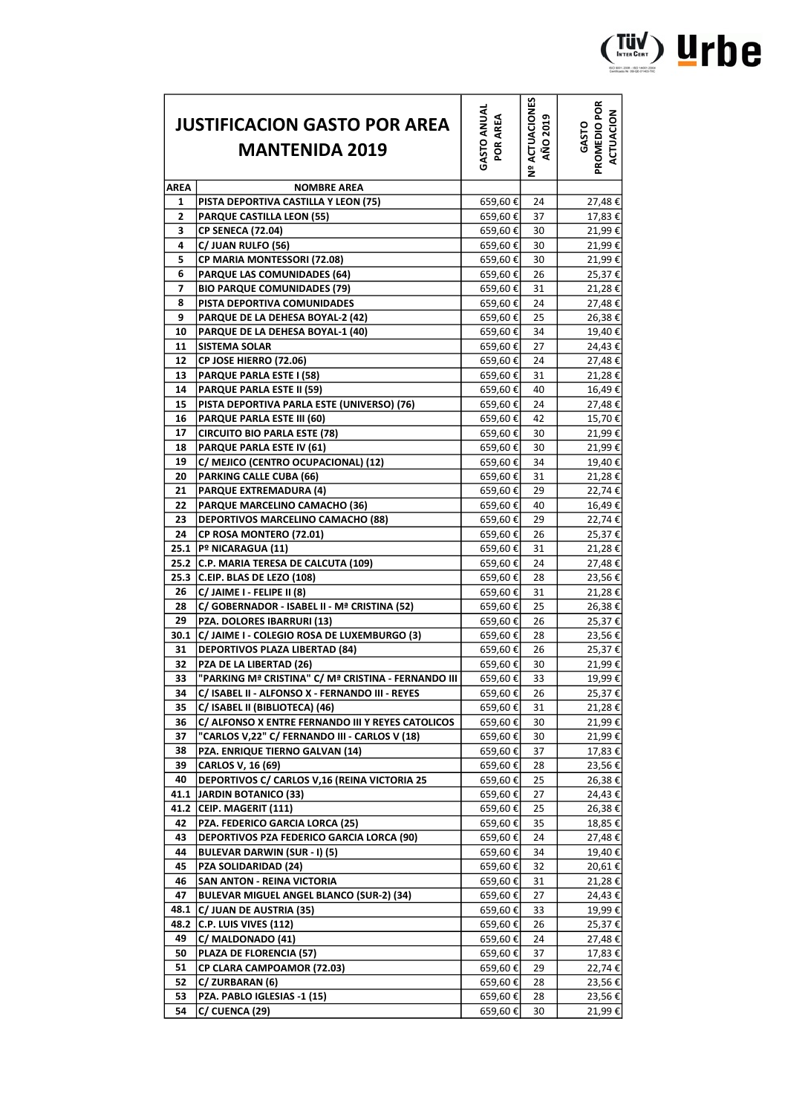| <b>JUSTIFICACION GASTO POR AREA</b> |                                                             | <b>GASTO ANUAL</b><br>POR AREA |                                |                                    |
|-------------------------------------|-------------------------------------------------------------|--------------------------------|--------------------------------|------------------------------------|
|                                     |                                                             |                                |                                |                                    |
|                                     | <b>MANTENIDA 2019</b>                                       |                                | ACTUACIONES<br><b>AÑO 2019</b> | PROMEDIO POR<br>ACTUACION<br>GASTO |
|                                     |                                                             |                                | ە<br>2                         |                                    |
| <b>AREA</b>                         | <b>NOMBRE AREA</b>                                          |                                |                                |                                    |
| 1                                   | PISTA DEPORTIVA CASTILLA Y LEON (75)                        | 659,60€                        | 24                             | 27,48€                             |
| 2                                   | <b>PARQUE CASTILLA LEON (55)</b>                            | 659,60€                        | 37                             | 17,83€                             |
| 3                                   | <b>CP SENECA (72.04)</b>                                    | 659,60€                        | 30                             | 21,99€                             |
| 4                                   | C/ JUAN RULFO (56)                                          | 659,60€                        | 30                             | 21,99€                             |
| 5                                   | CP MARIA MONTESSORI (72.08)                                 | 659,60€                        | 30                             | 21,99€                             |
| 6                                   | <b>PARQUE LAS COMUNIDADES (64)</b>                          | 659,60€                        | 26                             | 25,37€                             |
| 7                                   | <b>BIO PARQUE COMUNIDADES (79)</b>                          | 659,60€                        | 31                             | 21,28€                             |
| 8                                   | PISTA DEPORTIVA COMUNIDADES                                 | 659,60€                        | 24                             | 27,48€                             |
| 9                                   | PARQUE DE LA DEHESA BOYAL-2 (42)                            | 659,60€                        | 25                             | 26,38€                             |
| 10                                  | PARQUE DE LA DEHESA BOYAL-1 (40)                            | 659,60€                        | 34                             | 19,40€                             |
| 11                                  | <b>SISTEMA SOLAR</b>                                        | 659,60€                        | 27                             | 24,43€                             |
| 12                                  | CP JOSE HIERRO (72.06)                                      | 659,60€                        | 24                             | 27,48€                             |
| 13                                  | <b>PARQUE PARLA ESTE I (58)</b>                             | 659,60€                        | 31                             | 21,28€                             |
| 14                                  | PARQUE PARLA ESTE II (59)                                   | 659,60€                        | 40                             | 16,49€                             |
| 15                                  | PISTA DEPORTIVA PARLA ESTE (UNIVERSO) (76)                  | 659,60€                        | 24                             | 27,48€                             |
| 16                                  | PARQUE PARLA ESTE III (60)                                  | 659,60€                        | 42                             | 15,70€                             |
| 17                                  | <b>CIRCUITO BIO PARLA ESTE (78)</b>                         | 659,60€                        | 30                             | 21,99€                             |
| 18                                  | PARQUE PARLA ESTE IV (61)                                   | 659,60€                        | 30                             | 21,99€                             |
| 19                                  | C/ MEJICO (CENTRO OCUPACIONAL) (12)                         | 659,60€                        | 34                             | 19,40€                             |
| 20                                  | <b>PARKING CALLE CUBA (66)</b>                              | 659,60€                        | 31                             | 21,28€                             |
| 21                                  | <b>PARQUE EXTREMADURA (4)</b>                               | 659,60€                        | 29                             | 22,74€                             |
| 22                                  | PARQUE MARCELINO CAMACHO (36)                               | 659,60€                        | 40                             | 16,49€                             |
| 23                                  | <b>DEPORTIVOS MARCELINO CAMACHO (88)</b>                    | 659,60€                        | 29                             | 22,74€                             |
| 24                                  | CP ROSA MONTERO (72.01)                                     | 659,60€                        | 26                             | 25,37€                             |
| 25.1                                | Pº NICARAGUA (11)                                           | 659,60€                        | 31                             | 21,28€                             |
|                                     | 25.2 C.P. MARIA TERESA DE CALCUTA (109)                     | 659,60€                        | 24                             | 27,48€                             |
| 25.3                                | C.EIP. BLAS DE LEZO (108)                                   | 659,60€                        | 28                             | 23,56€                             |
| 26                                  | C/ JAIME I - FELIPE II (8)                                  | 659,60€                        | 31                             | 21,28€                             |
| 28                                  | C/ GOBERNADOR - ISABEL II - Mª CRISTINA (52)                | 659,60€                        | 25                             | 26,38€                             |
| 29                                  | PZA. DOLORES IBARRURI (13)                                  | 659,60€                        | 26                             | 25,37€                             |
| 30.1                                | C/ JAIME I - COLEGIO ROSA DE LUXEMBURGO (3)                 | 659,60€                        | 28                             | 23,56€                             |
| 31                                  | <b>DEPORTIVOS PLAZA LIBERTAD (84)</b>                       | 659,60€                        | 26                             | 25,37€                             |
| 32                                  | <b>PZA DE LA LIBERTAD (26)</b>                              | 659,60€                        | 30                             | 21,99€                             |
| 33                                  | "PARKING Mª CRISTINA" C/ Mª CRISTINA - FERNANDO III         | 659,60€                        | 33                             | 19,99€                             |
| 34                                  | C/ ISABEL II - ALFONSO X - FERNANDO III - REYES             | 659,60€                        | 26                             | 25,37€                             |
| 35                                  | C/ ISABEL II (BIBLIOTECA) (46)                              | 659,60€                        | 31                             | 21,28€                             |
| 36                                  | C/ ALFONSO X ENTRE FERNANDO III Y REYES CATOLICOS           | 659,60€                        | 30                             | 21,99€                             |
| 37                                  | "CARLOS V,22" C/ FERNANDO III - CARLOS V (18)               | 659,60€                        | 30                             | 21,99€                             |
| 38                                  | PZA. ENRIQUE TIERNO GALVAN (14)                             | 659,60€                        | 37                             | 17,83 €                            |
| 39                                  | CARLOS V, 16 (69)                                           | 659,60€                        | 28                             | 23,56€                             |
| 40                                  | DEPORTIVOS C/ CARLOS V,16 (REINA VICTORIA 25                | 659,60€                        | 25                             | 26,38€                             |
| 41.1                                | <b>JARDIN BOTANICO (33)</b>                                 | 659,60€                        | 27                             | 24,43€                             |
|                                     | 41.2 CEIP. MAGERIT (111)                                    | 659,60€                        | 25                             | 26,38€                             |
| 42                                  | PZA. FEDERICO GARCIA LORCA (25)                             | 659,60€                        | 35                             | 18,85€                             |
| 43                                  | <b>DEPORTIVOS PZA FEDERICO GARCIA LORCA (90)</b>            | 659,60€                        | 24                             | 27,48€                             |
| 44                                  | <b>BULEVAR DARWIN (SUR - I) (5)</b>                         | 659,60€                        | 34                             | 19,40€                             |
| 45                                  | PZA SOLIDARIDAD (24)                                        | 659,60€                        | 32                             | 20,61€                             |
| 46                                  | <b>SAN ANTON - REINA VICTORIA</b>                           | 659,60€                        | 31                             | 21,28€                             |
| 47                                  | <b>BULEVAR MIGUEL ANGEL BLANCO (SUR-2) (34)</b>             | 659,60€                        | 27                             | 24,43€                             |
|                                     | 48.1  C/ JUAN DE AUSTRIA (35)<br>48.2 C.P. LUIS VIVES (112) | 659,60€                        | 33                             | 19,99€                             |
|                                     |                                                             | 659,60€                        | 26                             | 25,37€                             |
| 49                                  | C/ MALDONADO (41)                                           | 659,60€                        | 24                             | 27,48€                             |
| 50                                  | PLAZA DE FLORENCIA (57)                                     | 659,60€                        | 37                             | 17,83€                             |
| 51                                  | CP CLARA CAMPOAMOR (72.03)                                  | 659,60€                        | 29                             | 22,74 €                            |
| 52                                  | C/ ZURBARAN (6)                                             | 659,60€                        | 28                             | 23,56€                             |
| 53                                  | PZA. PABLO IGLESIAS -1 (15)                                 | 659,60€                        | 28                             | 23,56€                             |
| 54                                  | C/ CUENCA (29)                                              | 659,60€                        | 30                             | 21,99€                             |